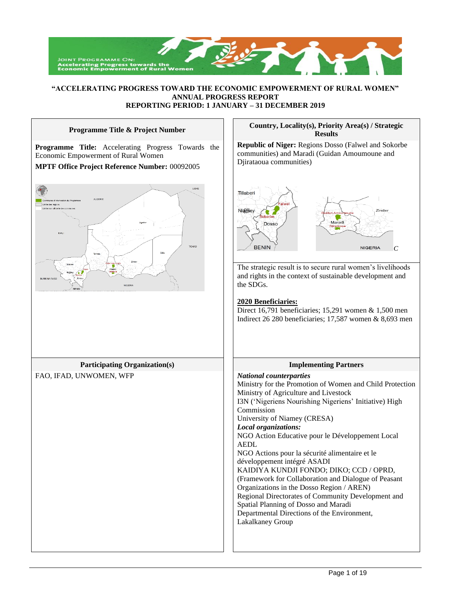

## **"ACCELERATING PROGRESS TOWARD THE ECONOMIC EMPOWERMENT OF RURAL WOMEN" ANNUAL PROGRESS REPORT REPORTING PERIOD: 1 JANUARY – 31 DECEMBER 2019**

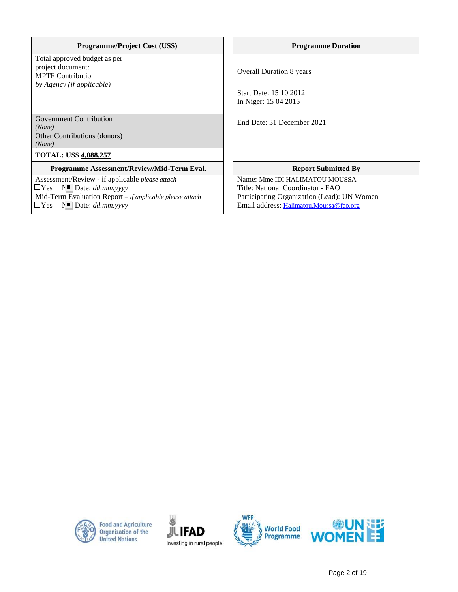| <b>Programme/Project Cost (US\$)</b>                                                                                                                                                                   | <b>Programme Duration</b>                                                                                                                                     |
|--------------------------------------------------------------------------------------------------------------------------------------------------------------------------------------------------------|---------------------------------------------------------------------------------------------------------------------------------------------------------------|
| Total approved budget as per<br>project document:<br><b>MPTF Contribution</b><br>by Agency (if applicable)                                                                                             | <b>Overall Duration 8 years</b><br>Start Date: 15 10 2012<br>In Niger: 15 04 2015                                                                             |
| <b>Government Contribution</b><br>(None)<br>Other Contributions (donors)<br>(None)                                                                                                                     | End Date: 31 December 2021                                                                                                                                    |
| <b>TOTAL: US\$ 4,088,257</b>                                                                                                                                                                           |                                                                                                                                                               |
| Programme Assessment/Review/Mid-Term Eval.                                                                                                                                                             | <b>Report Submitted By</b>                                                                                                                                    |
| Assessment/Review - if applicable <i>please attach</i><br>$\Box$ Yes $N$ Date: dd.mm.yyyy<br>Mid-Term Evaluation Report - if applicable please attach<br>$\Box$ Yes $\Gamma$   Date: <i>dd.mm.yyyy</i> | Name: Mme IDI HALIMATOU MOUSSA<br>Title: National Coordinator - FAO<br>Participating Organization (Lead): UN Women<br>Email address: Halimatou.Moussa@fao.org |



Food and Agriculture<br>Organization of the<br>United Nations





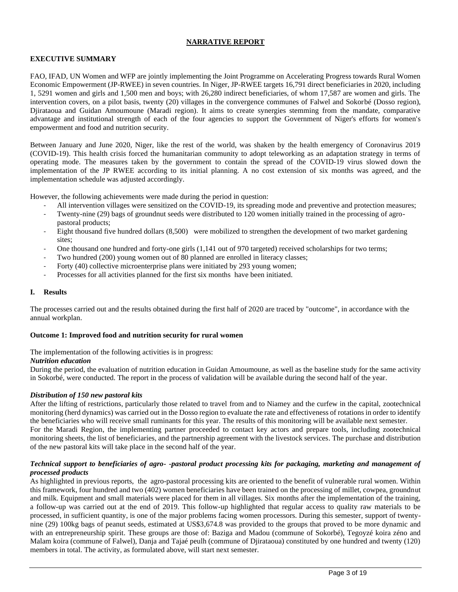# **NARRATIVE REPORT**

# **EXECUTIVE SUMMARY**

FAO, IFAD, UN Women and WFP are jointly implementing the Joint Programme on Accelerating Progress towards Rural Women Economic Empowerment (JP-RWEE) in seven countries. In Niger, JP-RWEE targets 16,791 direct beneficiaries in 2020, including 1, 5291 women and girls and 1,500 men and boys; with 26,280 indirect beneficiaries, of whom 17,587 are women and girls. The intervention covers, on a pilot basis, twenty (20) villages in the convergence communes of Falwel and Sokorbé (Dosso region), Djirataoua and Guidan Amoumoune (Maradi region). It aims to create synergies stemming from the mandate, comparative advantage and institutional strength of each of the four agencies to support the Government of Niger's efforts for women's empowerment and food and nutrition security.

Between January and June 2020, Niger, like the rest of the world, was shaken by the health emergency of Coronavirus 2019 (COVID-19). This health crisis forced the humanitarian community to adopt teleworking as an adaptation strategy in terms of operating mode. The measures taken by the government to contain the spread of the COVID-19 virus slowed down the implementation of the JP RWEE according to its initial planning. A no cost extension of six months was agreed, and the implementation schedule was adjusted accordingly.

However, the following achievements were made during the period in question:

- All intervention villages were sensitized on the COVID-19, its spreading mode and preventive and protection measures;
- Twenty-nine (29) bags of groundnut seeds were distributed to 120 women initially trained in the processing of agropastoral products;
- Eight thousand five hundred dollars (8,500) were mobilized to strengthen the development of two market gardening sites;
- One thousand one hundred and forty-one girls (1,141 out of 970 targeted) received scholarships for two terms;
- Two hundred (200) young women out of 80 planned are enrolled in literacy classes;
- Forty (40) collective microenterprise plans were initiated by 293 young women;
- Processes for all activities planned for the first six months have been initiated.

## **I. Results**

The processes carried out and the results obtained during the first half of 2020 are traced by "outcome", in accordance with the annual workplan.

### **Outcome 1: Improved food and nutrition security for rural women**

The implementation of the following activities is in progress:

### *Nutrition education*

During the period, the evaluation of nutrition education in Guidan Amoumoune, as well as the baseline study for the same activity in Sokorbé, were conducted. The report in the process of validation will be available during the second half of the year.

# *Distribution of 150 new pastoral kits*

After the lifting of restrictions, particularly those related to travel from and to Niamey and the curfew in the capital, zootechnical monitoring (herd dynamics) was carried out in the Dosso region to evaluate the rate and effectiveness of rotations in order to identify the beneficiaries who will receive small ruminants for this year. The results of this monitoring will be available next semester. For the Maradi Region, the implementing partner proceeded to contact key actors and prepare tools, including zootechnical monitoring sheets, the list of beneficiaries, and the partnership agreement with the livestock services. The purchase and distribution of the new pastoral kits will take place in the second half of the year.

## *Technical support to beneficiaries of agro- -pastoral product processing kits for packaging, marketing and management of processed products*

As highlighted in previous reports, the agro-pastoral processing kits are oriented to the benefit of vulnerable rural women. Within this framework, four hundred and two (402) women beneficiaries have been trained on the processing of millet, cowpea, groundnut and milk. Equipment and small materials were placed for them in all villages. Six months after the implementation of the training, a follow-up was carried out at the end of 2019. This follow-up highlighted that regular access to quality raw materials to be processed, in sufficient quantity, is one of the major problems facing women processors. During this semester, support of twentynine (29) 100kg bags of peanut seeds, estimated at US\$3,674.8 was provided to the groups that proved to be more dynamic and with an entrepreneurship spirit. These groups are those of: Baziga and Madou (commune of Sokorbé), Tegoyzé koira zéno and Malam koira (commune of Falwel), Danja and Tajaé peulh (commune of Djirataoua) constituted by one hundred and twenty (120) members in total. The activity, as formulated above, will start next semester.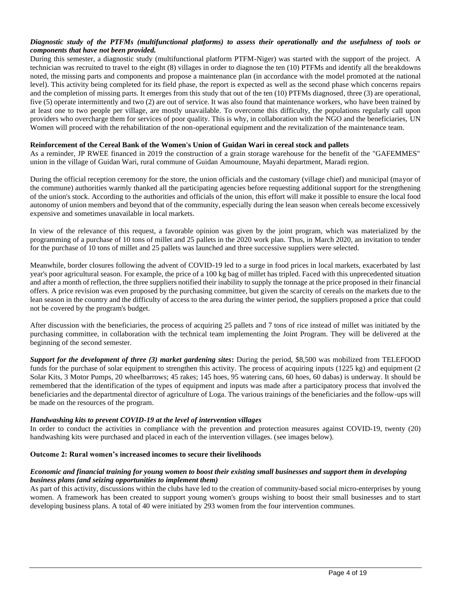# *Diagnostic study of the PTFMs (multifunctional platforms) to assess their operationally and the usefulness of tools or components that have not been provided.*

During this semester, a diagnostic study (multifunctional platform PTFM-Niger) was started with the support of the project. A technician was recruited to travel to the eight (8) villages in order to diagnose the ten (10) PTFMs and identify all the breakdowns noted, the missing parts and components and propose a maintenance plan (in accordance with the model promoted at the national level). This activity being completed for its field phase, the report is expected as well as the second phase which concerns repairs and the completion of missing parts. It emerges from this study that out of the ten (10) PTFMs diagnosed, three (3) are operational, five (5) operate intermittently and two (2) are out of service. It was also found that maintenance workers, who have been trained by at least one to two people per village, are mostly unavailable. To overcome this difficulty, the populations regularly call upon providers who overcharge them for services of poor quality. This is why, in collaboration with the NGO and the beneficiaries, UN Women will proceed with the rehabilitation of the non-operational equipment and the revitalization of the maintenance team.

## **Reinforcement of the Cereal Bank of the Women's Union of Guidan Wari in cereal stock and pallets**

As a reminder, JP RWEE financed in 2019 the construction of a grain storage warehouse for the benefit of the "GAFEMMES" union in the village of Guidan Wari, rural commune of Guidan Amoumoune, Mayahi department, Maradi region.

During the official reception ceremony for the store, the union officials and the customary (village chief) and municipal (mayor of the commune) authorities warmly thanked all the participating agencies before requesting additional support for the strengthening of the union's stock. According to the authorities and officials of the union, this effort will make it possible to ensure the local food autonomy of union members and beyond that of the community, especially during the lean season when cereals become excessively expensive and sometimes unavailable in local markets.

In view of the relevance of this request, a favorable opinion was given by the joint program, which was materialized by the programming of a purchase of 10 tons of millet and 25 pallets in the 2020 work plan. Thus, in March 2020, an invitation to tender for the purchase of 10 tons of millet and 25 pallets was launched and three successive suppliers were selected.

Meanwhile, border closures following the advent of COVID-19 led to a surge in food prices in local markets, exacerbated by last year's poor agricultural season. For example, the price of a 100 kg bag of millet has tripled. Faced with this unprecedented situation and after a month of reflection, the three suppliers notified their inability to supply the tonnage at the price proposed in their financial offers. A price revision was even proposed by the purchasing committee, but given the scarcity of cereals on the markets due to the lean season in the country and the difficulty of access to the area during the winter period, the suppliers proposed a price that could not be covered by the program's budget.

After discussion with the beneficiaries, the process of acquiring 25 pallets and 7 tons of rice instead of millet was initiated by the purchasing committee, in collaboration with the technical team implementing the Joint Program. They will be delivered at the beginning of the second semester.

*Support for the development of three (3) market gardening sites***:** During the period, \$8,500 was mobilized from TELEFOOD funds for the purchase of solar equipment to strengthen this activity. The process of acquiring inputs (1225 kg) and equipment (2 Solar Kits, 3 Motor Pumps, 20 wheelbarrows; 45 rakes; 145 hoes, 95 watering cans, 60 hoes, 60 dabas) is underway. It should be remembered that the identification of the types of equipment and inputs was made after a participatory process that involved the beneficiaries and the departmental director of agriculture of Loga. The various trainings of the beneficiaries and the follow-ups will be made on the resources of the program.

### *Handwashing kits to prevent COVID-19 at the level of intervention villages*

In order to conduct the activities in compliance with the prevention and protection measures against COVID-19, twenty (20) handwashing kits were purchased and placed in each of the intervention villages. (see images below).

### **Outcome 2: Rural women's increased incomes to secure their livelihoods**

## *Economic and financial training for young women to boost their existing small businesses and support them in developing business plans (and seizing opportunities to implement them)*

As part of this activity, discussions within the clubs have led to the creation of community-based social micro-enterprises by young women. A framework has been created to support young women's groups wishing to boost their small businesses and to start developing business plans. A total of 40 were initiated by 293 women from the four intervention communes.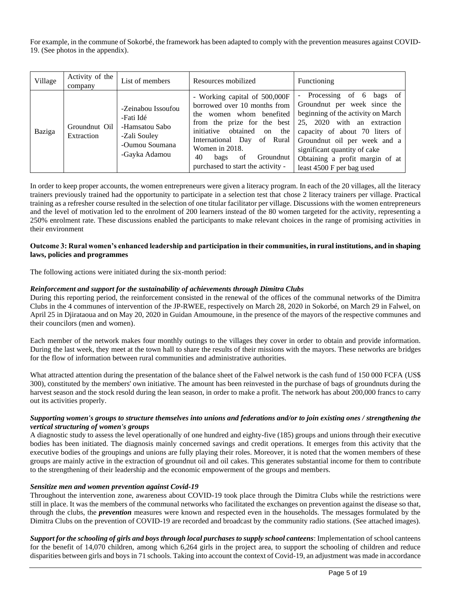For example, in the commune of Sokorbé, the framework has been adapted to comply with the prevention measures against COVID-19. (See photos in the appendix).

| Village | Activity of the<br>company  | List of members                                                                                      | Resources mobilized                                                                                                                                                                                                                                                                   | Functioning                                                                                                                                                                                                                                                                                                                   |
|---------|-----------------------------|------------------------------------------------------------------------------------------------------|---------------------------------------------------------------------------------------------------------------------------------------------------------------------------------------------------------------------------------------------------------------------------------------|-------------------------------------------------------------------------------------------------------------------------------------------------------------------------------------------------------------------------------------------------------------------------------------------------------------------------------|
| Baziga  | Groundnut Oil<br>Extraction | -Zeinabou Issoufou<br>-Fati Idé<br>-Hamsatou Sabo<br>-Zali Souley<br>-Oumou Soumana<br>-Gayka Adamou | - Working capital of 500,000F<br>borrowed over 10 months from<br>the women whom benefited<br>from the prize for the best<br>initiative<br>obtained<br>the<br>on<br>International Day of Rural<br>Women in 2018.<br>40<br>Groundnut<br>of<br>bags<br>purchased to start the activity - | Processing of 6<br>bags of<br>$\overline{\phantom{a}}$<br>Groundnut per week since the<br>beginning of the activity on March<br>25, 2020 with an extraction<br>capacity of about 70 liters of<br>Groundnut oil per week and a<br>significant quantity of cake<br>Obtaining a profit margin of at<br>least 4500 F per bag used |

In order to keep proper accounts, the women entrepreneurs were given a literacy program. In each of the 20 villages, all the literacy trainers previously trained had the opportunity to participate in a selection test that chose 2 literacy trainers per village. Practical training as a refresher course resulted in the selection of one titular facilitator per village. Discussions with the women entrepreneurs and the level of motivation led to the enrolment of 200 learners instead of the 80 women targeted for the activity, representing a 250% enrolment rate. These discussions enabled the participants to make relevant choices in the range of promising activities in their environment

## **Outcome 3: Rural women's enhanced leadership and participation in their communities, in rural institutions, and in shaping laws, policies and programmes**

The following actions were initiated during the six-month period:

# *Reinforcement and support for the sustainability of achievements through Dimitra Clubs*

During this reporting period, the reinforcement consisted in the renewal of the offices of the communal networks of the Dimitra Clubs in the 4 communes of intervention of the JP-RWEE, respectively on March 28, 2020 in Sokorbé, on March 29 in Falwel, on April 25 in Djirataoua and on May 20, 2020 in Guidan Amoumoune, in the presence of the mayors of the respective communes and their councilors (men and women).

Each member of the network makes four monthly outings to the villages they cover in order to obtain and provide information. During the last week, they meet at the town hall to share the results of their missions with the mayors. These networks are bridges for the flow of information between rural communities and administrative authorities.

What attracted attention during the presentation of the balance sheet of the Falwel network is the cash fund of 150 000 FCFA (US\$) 300), constituted by the members' own initiative. The amount has been reinvested in the purchase of bags of groundnuts during the harvest season and the stock resold during the lean season, in order to make a profit. The network has about 200,000 francs to carry out its activities properly.

# *Supporting women's groups to structure themselves into unions and federations and/or to join existing ones / strengthening the vertical structuring of women's groups*

A diagnostic study to assess the level operationally of one hundred and eighty-five (185) groups and unions through their executive bodies has been initiated. The diagnosis mainly concerned savings and credit operations. It emerges from this activity that the executive bodies of the groupings and unions are fully playing their roles. Moreover, it is noted that the women members of these groups are mainly active in the extraction of groundnut oil and oil cakes. This generates substantial income for them to contribute to the strengthening of their leadership and the economic empowerment of the groups and members.

# *Sensitize men and women prevention against Covid-19*

Throughout the intervention zone, awareness about COVID-19 took place through the Dimitra Clubs while the restrictions were still in place. It was the members of the communal networks who facilitated the exchanges on prevention against the disease so that, through the clubs, the *prevention* measures were known and respected even in the households. The messages formulated by the Dimitra Clubs on the prevention of COVID-19 are recorded and broadcast by the community radio stations. (See attached images).

*Support for the schooling of girls and boys through local purchases to supply school canteens*: Implementation of school canteens for the benefit of 14,070 children, among which 6,264 girls in the project area, to support the schooling of children and reduce disparities between girls and boys in 71 schools. Taking into account the context of Covid-19, an adjustment was made in accordance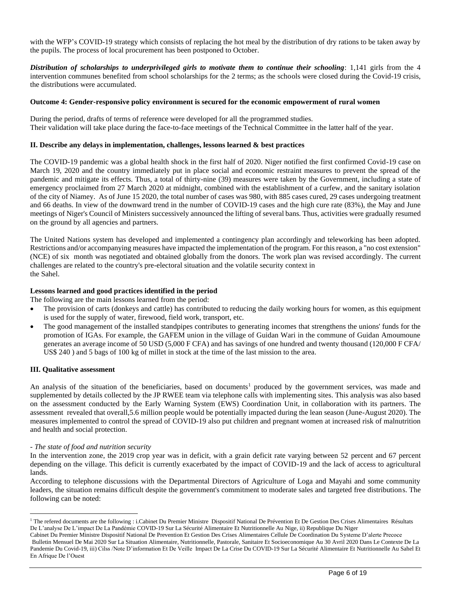with the WFP's COVID-19 strategy which consists of replacing the hot meal by the distribution of dry rations to be taken away by the pupils. The process of local procurement has been postponed to October.

*Distribution of scholarships to underprivileged girls to motivate them to continue their schooling*: 1,141 girls from the 4 intervention communes benefited from school scholarships for the 2 terms; as the schools were closed during the Covid-19 crisis, the distributions were accumulated.

## **Outcome 4: Gender-responsive policy environment is secured for the economic empowerment of rural women**

During the period, drafts of terms of reference were developed for all the programmed studies. Their validation will take place during the face-to-face meetings of the Technical Committee in the latter half of the year.

## **II. Describe any delays in implementation, challenges, lessons learned & best practices**

The COVID-19 pandemic was a global health shock in the first half of 2020. Niger notified the first confirmed Covid-19 case on March 19, 2020 and the country immediately put in place social and economic restraint measures to prevent the spread of the pandemic and mitigate its effects. Thus, a total of thirty-nine (39) measures were taken by the Government, including a state of emergency proclaimed from 27 March 2020 at midnight, combined with the establishment of a curfew, and the sanitary isolation of the city of Niamey. As of June 15 2020, the total number of cases was 980, with 885 cases cured, 29 cases undergoing treatment and 66 deaths. In view of the downward trend in the number of COVID-19 cases and the high cure rate (83%), the May and June meetings of Niger's Council of Ministers successively announced the lifting of several bans. Thus, activities were gradually resumed on the ground by all agencies and partners.

The United Nations system has developed and implemented a contingency plan accordingly and teleworking has been adopted. Restrictions and/or accompanying measures have impacted the implementation of the program. For this reason, a "no cost extension" (NCE) of six month was negotiated and obtained globally from the donors. The work plan was revised accordingly. The current challenges are related to the country's pre-electoral situation and the volatile security context in the Sahel.

## **Lessons learned and good practices identified in the period**

The following are the main lessons learned from the period:

- The provision of carts (donkeys and cattle) has contributed to reducing the daily working hours for women, as this equipment is used for the supply of water, firewood, field work, transport, etc.
- The good management of the installed standpipes contributes to generating incomes that strengthens the unions' funds for the promotion of IGAs. For example, the GAFEM union in the village of Guidan Wari in the commune of Guidan Amoumoune generates an average income of 50 USD (5,000 F CFA) and has savings of one hundred and twenty thousand (120,000 F CFA/ US\$ 240 ) and 5 bags of 100 kg of millet in stock at the time of the last mission to the area.

# **III. Qualitative assessment**

An analysis of the situation of the beneficiaries, based on documents<sup>1</sup> produced by the government services, was made and supplemented by details collected by the JP RWEE team via telephone calls with implementing sites. This analysis was also based on the assessment conducted by the Early Warning System (EWS) Coordination Unit, in collaboration with its partners. The assessment revealed that overall,5.6 million people would be potentially impacted during the lean season (June-August 2020). The measures implemented to control the spread of COVID-19 also put children and pregnant women at increased risk of malnutrition and health and social protection.

### - *The state of food and nutrition security*

In the intervention zone, the 2019 crop year was in deficit, with a grain deficit rate varying between 52 percent and 67 percent depending on the village. This deficit is currently exacerbated by the impact of COVID-19 and the lack of access to agricultural lands.

According to telephone discussions with the Departmental Directors of Agriculture of Loga and Mayahi and some community leaders, the situation remains difficult despite the government's commitment to moderate sales and targeted free distributions. The following can be noted:

<sup>&</sup>lt;sup>1</sup> The refered documents are the following : i.Cabinet Du Premier Ministre Dispositif National De Prévention Et De Gestion Des Crises Alimentaires Résultats De L'analyse De L'impact De La Pandémie COVID-19 Sur La Sécurité Alimentaire Et Nutritionnelle Au Nige, ii) Republique Du Niger

Cabinet Du Premier Ministre Dispositif National De Prevention Et Gestion Des Crises Alimentaires Cellule De Coordination Du Systeme D'alerte Precoce Bulletin Mensuel De Mai 2020 Sur La Situation Alimentaire, Nutritionnelle, Pastorale, Sanitaire Et Socioeconomique Au 30 Avril 2020 Dans Le Contexte De La Pandemie Du Covid-19, iii) Cilss /Note D'information Et De Veille Impact De La Crise Du COVID-19 Sur La Sécurité Alimentaire Et Nutritionnelle Au Sahel Et En Afrique De l'Ouest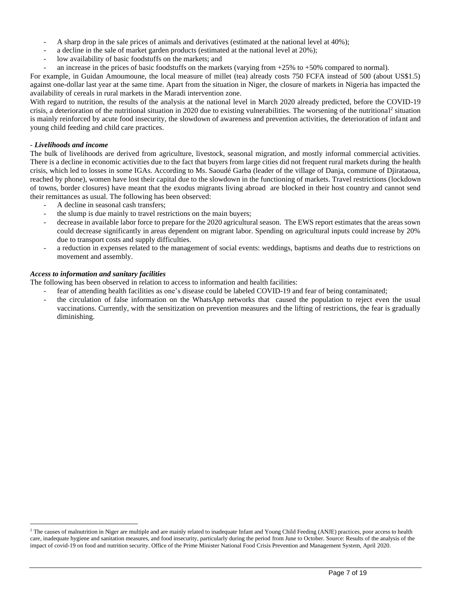- A sharp drop in the sale prices of animals and derivatives (estimated at the national level at 40%);
- a decline in the sale of market garden products (estimated at the national level at 20%);
- low availability of basic foodstuffs on the markets; and
- an increase in the prices of basic foodstuffs on the markets (varying from  $+25\%$  to  $+50\%$  compared to normal).

For example, in Guidan Amoumoune, the local measure of millet (tea) already costs 750 FCFA instead of 500 (about US\$1.5) against one-dollar last year at the same time. Apart from the situation in Niger, the closure of markets in Nigeria has impacted the availability of cereals in rural markets in the Maradi intervention zone.

With regard to nutrition, the results of the analysis at the national level in March 2020 already predicted, before the COVID-19 crisis, a deterioration of the nutritional situation in 2020 due to existing vulnerabilities. The worsening of the nutritional<sup>2</sup> situation is mainly reinforced by acute food insecurity, the slowdown of awareness and prevention activities, the deterioration of infant and young child feeding and child care practices.

## - *Livelihoods and income*

The bulk of livelihoods are derived from agriculture, livestock, seasonal migration, and mostly informal commercial activities. There is a decline in economic activities due to the fact that buyers from large cities did not frequent rural markets during the health crisis, which led to losses in some IGAs. According to Ms. Saoudé Garba (leader of the village of Danja, commune of Djirataoua, reached by phone), women have lost their capital due to the slowdown in the functioning of markets. Travel restrictions (lockdown of towns, border closures) have meant that the exodus migrants living abroad are blocked in their host country and cannot send their remittances as usual. The following has been observed:

- A decline in seasonal cash transfers;
- the slump is due mainly to travel restrictions on the main buyers;
- decrease in available labor force to prepare for the 2020 agricultural season. The EWS report estimates that the areas sown could decrease significantly in areas dependent on migrant labor. Spending on agricultural inputs could increase by 20% due to transport costs and supply difficulties.
- a reduction in expenses related to the management of social events: weddings, baptisms and deaths due to restrictions on movement and assembly.

# *Access to information and sanitary facilities*

The following has been observed in relation to access to information and health facilities:

- fear of attending health facilities as one's disease could be labeled COVID-19 and fear of being contaminated;
- the circulation of false information on the WhatsApp networks that caused the population to reject even the usual vaccinations. Currently, with the sensitization on prevention measures and the lifting of restrictions, the fear is gradually diminishing.

<sup>&</sup>lt;sup>2</sup> The causes of malnutrition in Niger are multiple and are mainly related to inadequate Infant and Young Child Feeding (ANJE) practices, poor access to health care, inadequate hygiene and sanitation measures, and food insecurity, particularly during the period from June to October. Source: Results of the analysis of the impact of covid-19 on food and nutrition security. Office of the Prime Minister National Food Crisis Prevention and Management System, April 2020.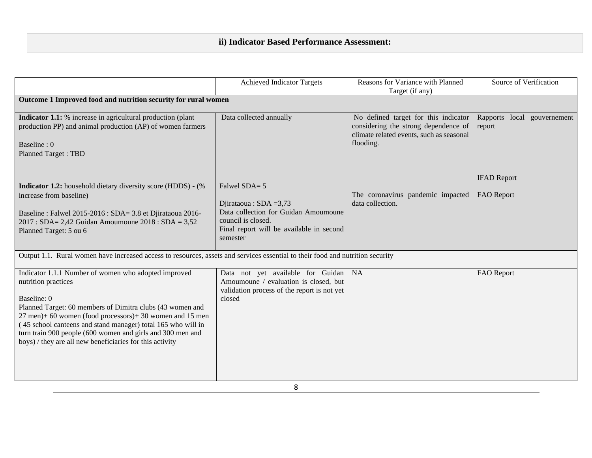# **ii) Indicator Based Performance Assessment:**

|                                                                                                                                                                                                                                                                                                                                                                                                               | <b>Achieved Indicator Targets</b>                                                                                                                               | Reasons for Variance with Planned                                                                                                     | Source of Verification                |
|---------------------------------------------------------------------------------------------------------------------------------------------------------------------------------------------------------------------------------------------------------------------------------------------------------------------------------------------------------------------------------------------------------------|-----------------------------------------------------------------------------------------------------------------------------------------------------------------|---------------------------------------------------------------------------------------------------------------------------------------|---------------------------------------|
|                                                                                                                                                                                                                                                                                                                                                                                                               |                                                                                                                                                                 | Target (if any)                                                                                                                       |                                       |
| Outcome 1 Improved food and nutrition security for rural women                                                                                                                                                                                                                                                                                                                                                |                                                                                                                                                                 |                                                                                                                                       |                                       |
| <b>Indicator 1.1:</b> % increase in agricultural production (plant<br>production PP) and animal production (AP) of women farmers<br>Baseline: 0<br><b>Planned Target: TBD</b>                                                                                                                                                                                                                                 | Data collected annually                                                                                                                                         | No defined target for this indicator<br>considering the strong dependence of<br>climate related events, such as seasonal<br>flooding. | Rapports local gouvernement<br>report |
| Indicator 1.2: household dietary diversity score (HDDS) - (%<br>increase from baseline)<br>Baseline : Falwel 2015-2016 : SDA= 3.8 et Djirataoua 2016-<br>2017 : SDA= 2,42 Guidan Amoumoune 2018 : SDA = 3,52<br>Planned Target: 5 ou 6                                                                                                                                                                        | Falwel SDA= 5<br>Djirataoua: $SDA = 3,73$<br>Data collection for Guidan Amoumoune<br>council is closed.<br>Final report will be available in second<br>semester | The coronavirus pandemic impacted<br>data collection.                                                                                 | <b>IFAD Report</b><br>FAO Report      |
| Output 1.1. Rural women have increased access to resources, assets and services essential to their food and nutrition security                                                                                                                                                                                                                                                                                |                                                                                                                                                                 |                                                                                                                                       |                                       |
| Indicator 1.1.1 Number of women who adopted improved<br>nutrition practices<br>Baseline: 0<br>Planned Target: 60 members of Dimitra clubs (43 women and<br>27 men)+ 60 women (food processors)+ 30 women and 15 men<br>(45 school canteens and stand manager) total 165 who will in<br>turn train 900 people (600 women and girls and 300 men and<br>boys) / they are all new beneficiaries for this activity | Data not yet available for Guidan<br>Amoumoune / evaluation is closed, but<br>validation process of the report is not yet<br>closed                             | <b>NA</b>                                                                                                                             | FAO Report                            |
|                                                                                                                                                                                                                                                                                                                                                                                                               | $\circ$                                                                                                                                                         |                                                                                                                                       |                                       |

8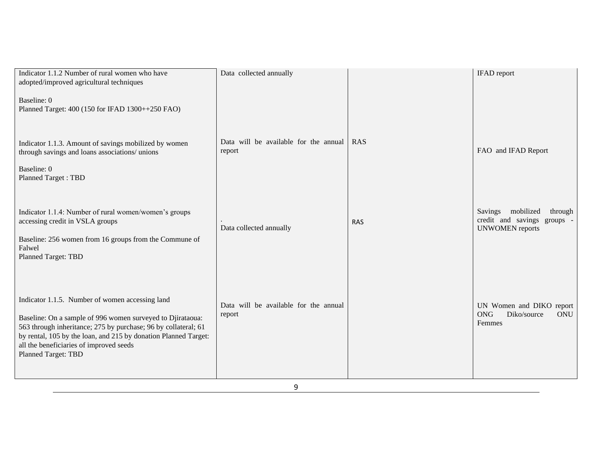| Indicator 1.1.2 Number of rural women who have<br>adopted/improved agricultural techniques<br>Baseline: 0<br>Planned Target: 400 (150 for IFAD 1300++250 FAO)                                                                                                                                                               | Data collected annually                         |            | <b>IFAD</b> report                                                                    |
|-----------------------------------------------------------------------------------------------------------------------------------------------------------------------------------------------------------------------------------------------------------------------------------------------------------------------------|-------------------------------------------------|------------|---------------------------------------------------------------------------------------|
| Indicator 1.1.3. Amount of savings mobilized by women<br>through savings and loans associations/ unions<br>Baseline: 0<br><b>Planned Target: TBD</b>                                                                                                                                                                        | Data will be available for the annual<br>report | <b>RAS</b> | FAO and IFAD Report                                                                   |
| Indicator 1.1.4: Number of rural women/women's groups<br>accessing credit in VSLA groups<br>Baseline: 256 women from 16 groups from the Commune of<br>Falwel<br><b>Planned Target: TBD</b>                                                                                                                                  | Data collected annually                         | <b>RAS</b> | Savings mobilized<br>through<br>credit and savings groups -<br><b>UNWOMEN</b> reports |
| Indicator 1.1.5. Number of women accessing land<br>Baseline: On a sample of 996 women surveyed to Djirataoua:<br>563 through inheritance; 275 by purchase; 96 by collateral; 61<br>by rental, 105 by the loan, and 215 by donation Planned Target:<br>all the beneficiaries of improved seeds<br><b>Planned Target: TBD</b> | Data will be available for the annual<br>report |            | UN Women and DIKO report<br><b>ONG</b><br>Diko/source<br><b>ONU</b><br>Femmes         |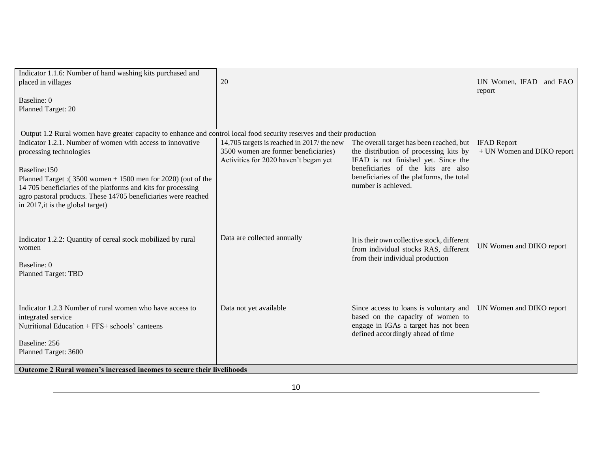| Indicator 1.1.6: Number of hand washing kits purchased and<br>placed in villages                                                                                                                                                                                                                                                                | 20                                                                                                                          |                                                                                                                                                                                                                                     | UN Women, IFAD and FAO                           |
|-------------------------------------------------------------------------------------------------------------------------------------------------------------------------------------------------------------------------------------------------------------------------------------------------------------------------------------------------|-----------------------------------------------------------------------------------------------------------------------------|-------------------------------------------------------------------------------------------------------------------------------------------------------------------------------------------------------------------------------------|--------------------------------------------------|
| Baseline: 0<br>Planned Target: 20                                                                                                                                                                                                                                                                                                               |                                                                                                                             |                                                                                                                                                                                                                                     | report                                           |
| Output 1.2 Rural women have greater capacity to enhance and control local food security reserves and their production                                                                                                                                                                                                                           |                                                                                                                             |                                                                                                                                                                                                                                     |                                                  |
| Indicator 1.2.1. Number of women with access to innovative<br>processing technologies<br>Baseline:150<br>Planned Target: $(3500$ women + 1500 men for 2020) (out of the<br>14 705 beneficiaries of the platforms and kits for processing<br>agro pastoral products. These 14705 beneficiaries were reached<br>in 2017, it is the global target) | 14,705 targets is reached in 2017/ the new<br>3500 women are former beneficiaries)<br>Activities for 2020 haven't began yet | The overall target has been reached, but<br>the distribution of processing kits by<br>IFAD is not finished yet. Since the<br>beneficiaries of the kits are also<br>beneficiaries of the platforms, the total<br>number is achieved. | <b>IFAD Report</b><br>+ UN Women and DIKO report |
| Indicator 1.2.2: Quantity of cereal stock mobilized by rural<br>women<br>Baseline: 0<br><b>Planned Target: TBD</b>                                                                                                                                                                                                                              | Data are collected annually                                                                                                 | It is their own collective stock, different<br>from individual stocks RAS, different<br>from their individual production                                                                                                            | UN Women and DIKO report                         |
| Indicator 1.2.3 Number of rural women who have access to<br>integrated service<br>Nutritional Education + FFS+ schools' canteens<br>Baseline: 256<br>Planned Target: 3600<br><b>Outcome 2 Rural women's increased incomes to secure their livelihoods</b>                                                                                       | Data not yet available                                                                                                      | Since access to loans is voluntary and<br>based on the capacity of women to<br>engage in IGAs a target has not been<br>defined accordingly ahead of time                                                                            | UN Women and DIKO report                         |
|                                                                                                                                                                                                                                                                                                                                                 |                                                                                                                             |                                                                                                                                                                                                                                     |                                                  |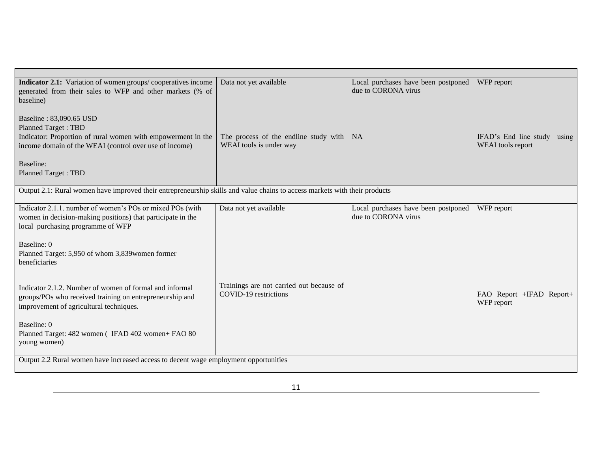| <b>Indicator 2.1:</b> Variation of women groups/cooperatives income                                                        | Data not yet available                   | Local purchases have been postponed | WFP report                     |
|----------------------------------------------------------------------------------------------------------------------------|------------------------------------------|-------------------------------------|--------------------------------|
| generated from their sales to WFP and other markets (% of                                                                  |                                          | due to CORONA virus                 |                                |
| baseline)                                                                                                                  |                                          |                                     |                                |
|                                                                                                                            |                                          |                                     |                                |
| Baseline: 83,090.65 USD                                                                                                    |                                          |                                     |                                |
| <b>Planned Target: TBD</b>                                                                                                 |                                          |                                     |                                |
| Indicator: Proportion of rural women with empowerment in the                                                               | The process of the endline study with    | <b>NA</b>                           | IFAD's End line study<br>using |
| income domain of the WEAI (control over use of income)                                                                     | WEAI tools is under way                  |                                     | WEAI tools report              |
|                                                                                                                            |                                          |                                     |                                |
| Baseline:                                                                                                                  |                                          |                                     |                                |
| <b>Planned Target: TBD</b>                                                                                                 |                                          |                                     |                                |
|                                                                                                                            |                                          |                                     |                                |
| Output 2.1: Rural women have improved their entrepreneurship skills and value chains to access markets with their products |                                          |                                     |                                |
|                                                                                                                            |                                          |                                     |                                |
| Indicator 2.1.1. number of women's POs or mixed POs (with                                                                  | Data not yet available                   | Local purchases have been postponed | WFP report                     |
| women in decision-making positions) that participate in the                                                                |                                          | due to CORONA virus                 |                                |
| local purchasing programme of WFP                                                                                          |                                          |                                     |                                |
|                                                                                                                            |                                          |                                     |                                |
| Baseline: 0                                                                                                                |                                          |                                     |                                |
| Planned Target: 5,950 of whom 3,839 women former                                                                           |                                          |                                     |                                |
| beneficiaries                                                                                                              |                                          |                                     |                                |
|                                                                                                                            |                                          |                                     |                                |
|                                                                                                                            | Trainings are not carried out because of |                                     |                                |
| Indicator 2.1.2. Number of women of formal and informal                                                                    | COVID-19 restrictions                    |                                     | FAO Report +IFAD Report+       |
| groups/POs who received training on entrepreneurship and                                                                   |                                          |                                     | WFP report                     |
| improvement of agricultural techniques.                                                                                    |                                          |                                     |                                |
|                                                                                                                            |                                          |                                     |                                |
| Baseline: 0                                                                                                                |                                          |                                     |                                |
| Planned Target: 482 women (IFAD 402 women+ FAO 80                                                                          |                                          |                                     |                                |
| young women)                                                                                                               |                                          |                                     |                                |
|                                                                                                                            |                                          |                                     |                                |
| Output 2.2 Rural women have increased access to decent wage employment opportunities                                       |                                          |                                     |                                |
|                                                                                                                            |                                          |                                     |                                |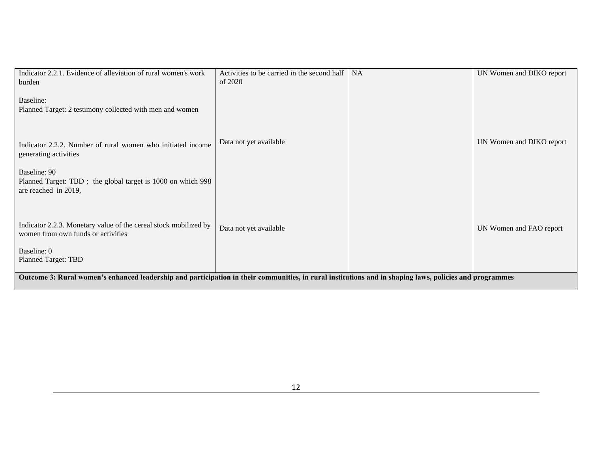| Indicator 2.2.1. Evidence of alleviation of rural women's work                                                                                          | Activities to be carried in the second half | <b>NA</b> | UN Women and DIKO report |
|---------------------------------------------------------------------------------------------------------------------------------------------------------|---------------------------------------------|-----------|--------------------------|
| burden                                                                                                                                                  | of 2020                                     |           |                          |
|                                                                                                                                                         |                                             |           |                          |
| Baseline:                                                                                                                                               |                                             |           |                          |
| Planned Target: 2 testimony collected with men and women                                                                                                |                                             |           |                          |
|                                                                                                                                                         |                                             |           |                          |
|                                                                                                                                                         |                                             |           |                          |
|                                                                                                                                                         | Data not yet available                      |           | UN Women and DIKO report |
| Indicator 2.2.2. Number of rural women who initiated income                                                                                             |                                             |           |                          |
| generating activities                                                                                                                                   |                                             |           |                          |
|                                                                                                                                                         |                                             |           |                          |
| Baseline: 90                                                                                                                                            |                                             |           |                          |
| Planned Target: TBD; the global target is 1000 on which 998<br>are reached in 2019,                                                                     |                                             |           |                          |
|                                                                                                                                                         |                                             |           |                          |
|                                                                                                                                                         |                                             |           |                          |
|                                                                                                                                                         |                                             |           |                          |
| Indicator 2.2.3. Monetary value of the cereal stock mobilized by                                                                                        | Data not yet available                      |           | UN Women and FAO report  |
| women from own funds or activities                                                                                                                      |                                             |           |                          |
|                                                                                                                                                         |                                             |           |                          |
| Baseline: 0                                                                                                                                             |                                             |           |                          |
| <b>Planned Target: TBD</b>                                                                                                                              |                                             |           |                          |
|                                                                                                                                                         |                                             |           |                          |
| Outcome 3: Rural women's enhanced leadership and participation in their communities, in rural institutions and in shaping laws, policies and programmes |                                             |           |                          |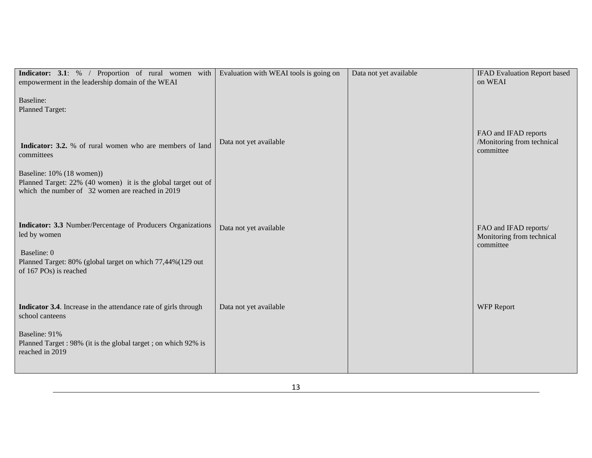| Indicator: 3.1: % / Proportion of rural women with<br>empowerment in the leadership domain of the WEAI                                                                                                                                                          | Evaluation with WEAI tools is going on | Data not yet available | <b>IFAD Evaluation Report based</b><br>on WEAI                  |
|-----------------------------------------------------------------------------------------------------------------------------------------------------------------------------------------------------------------------------------------------------------------|----------------------------------------|------------------------|-----------------------------------------------------------------|
| Baseline:<br>Planned Target:<br><b>Indicator: 3.2.</b> % of rural women who are members of land<br>committees<br>Baseline: 10% (18 women))<br>Planned Target: 22% (40 women) it is the global target out of<br>which the number of 32 women are reached in 2019 | Data not yet available                 |                        | FAO and IFAD reports<br>/Monitoring from technical<br>committee |
| Indicator: 3.3 Number/Percentage of Producers Organizations<br>led by women<br>Baseline: 0<br>Planned Target: 80% (global target on which 77,44%(129 out<br>of 167 POs) is reached                                                                              | Data not yet available                 |                        | FAO and IFAD reports/<br>Monitoring from technical<br>committee |
| Indicator 3.4. Increase in the attendance rate of girls through<br>school canteens<br>Baseline: 91%<br>Planned Target: 98% (it is the global target; on which 92% is<br>reached in 2019                                                                         | Data not yet available                 |                        | <b>WFP Report</b>                                               |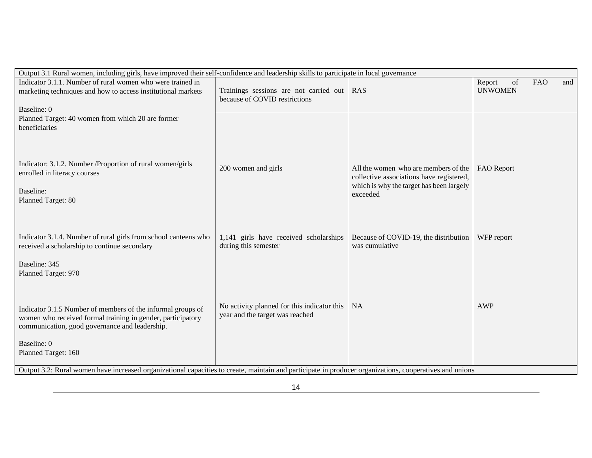| Output 3.1 Rural women, including girls, have improved their self-confidence and leadership skills to participate in local governance                   |                                             |                                                                                  |                                   |
|---------------------------------------------------------------------------------------------------------------------------------------------------------|---------------------------------------------|----------------------------------------------------------------------------------|-----------------------------------|
| Indicator 3.1.1. Number of rural women who were trained in                                                                                              |                                             |                                                                                  | Report<br><b>FAO</b><br>of<br>and |
| marketing techniques and how to access institutional markets                                                                                            | Trainings sessions are not carried out      | <b>RAS</b>                                                                       | <b>UNWOMEN</b>                    |
|                                                                                                                                                         | because of COVID restrictions               |                                                                                  |                                   |
| Baseline: 0                                                                                                                                             |                                             |                                                                                  |                                   |
| Planned Target: 40 women from which 20 are former                                                                                                       |                                             |                                                                                  |                                   |
| beneficiaries                                                                                                                                           |                                             |                                                                                  |                                   |
|                                                                                                                                                         |                                             |                                                                                  |                                   |
|                                                                                                                                                         |                                             |                                                                                  |                                   |
| Indicator: 3.1.2. Number / Proportion of rural women/girls                                                                                              |                                             |                                                                                  |                                   |
| enrolled in literacy courses                                                                                                                            | 200 women and girls                         | All the women who are members of the<br>collective associations have registered, | FAO Report                        |
|                                                                                                                                                         |                                             | which is why the target has been largely                                         |                                   |
| Baseline:                                                                                                                                               |                                             | exceeded                                                                         |                                   |
| Planned Target: 80                                                                                                                                      |                                             |                                                                                  |                                   |
|                                                                                                                                                         |                                             |                                                                                  |                                   |
|                                                                                                                                                         |                                             |                                                                                  |                                   |
| Indicator 3.1.4. Number of rural girls from school canteens who                                                                                         | 1,141 girls have received scholarships      | Because of COVID-19, the distribution                                            | WFP report                        |
| received a scholarship to continue secondary                                                                                                            | during this semester                        | was cumulative                                                                   |                                   |
|                                                                                                                                                         |                                             |                                                                                  |                                   |
| Baseline: 345                                                                                                                                           |                                             |                                                                                  |                                   |
| Planned Target: 970                                                                                                                                     |                                             |                                                                                  |                                   |
|                                                                                                                                                         |                                             |                                                                                  |                                   |
|                                                                                                                                                         |                                             |                                                                                  |                                   |
| Indicator 3.1.5 Number of members of the informal groups of                                                                                             | No activity planned for this indicator this | <b>NA</b>                                                                        | AWP                               |
| women who received formal training in gender, participatory                                                                                             | year and the target was reached             |                                                                                  |                                   |
| communication, good governance and leadership.                                                                                                          |                                             |                                                                                  |                                   |
| Baseline: 0                                                                                                                                             |                                             |                                                                                  |                                   |
| Planned Target: 160                                                                                                                                     |                                             |                                                                                  |                                   |
|                                                                                                                                                         |                                             |                                                                                  |                                   |
| Output 3.2: Rural women have increased organizational capacities to create, maintain and participate in producer organizations, cooperatives and unions |                                             |                                                                                  |                                   |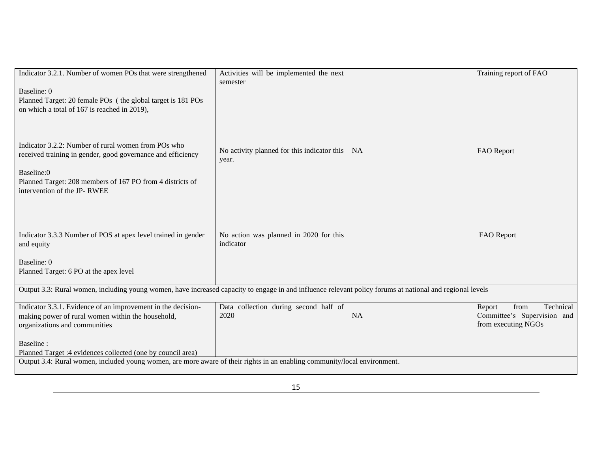| Indicator 3.2.1. Number of women POs that were strengthened                                                                                                                                           | Activities will be implemented the next<br>semester  |           | Training report of FAO                                                            |
|-------------------------------------------------------------------------------------------------------------------------------------------------------------------------------------------------------|------------------------------------------------------|-----------|-----------------------------------------------------------------------------------|
| Baseline: 0<br>Planned Target: 20 female POs (the global target is 181 POs<br>on which a total of 167 is reached in 2019),                                                                            |                                                      |           |                                                                                   |
| Indicator 3.2.2: Number of rural women from POs who<br>received training in gender, good governance and efficiency                                                                                    | No activity planned for this indicator this<br>year. | <b>NA</b> | FAO Report                                                                        |
| Baseline:0<br>Planned Target: 208 members of 167 PO from 4 districts of<br>intervention of the JP-RWEE                                                                                                |                                                      |           |                                                                                   |
| Indicator 3.3.3 Number of POS at apex level trained in gender<br>and equity                                                                                                                           | No action was planned in 2020 for this<br>indicator  |           | FAO Report                                                                        |
| Baseline: 0<br>Planned Target: 6 PO at the apex level                                                                                                                                                 |                                                      |           |                                                                                   |
| Output 3.3: Rural women, including young women, have increased capacity to engage in and influence relevant policy forums at national and regional levels                                             |                                                      |           |                                                                                   |
| Indicator 3.3.1. Evidence of an improvement in the decision-<br>making power of rural women within the household,<br>organizations and communities                                                    | Data collection during second half of<br>2020        | <b>NA</b> | Technical<br>from<br>Report<br>Committee's Supervision and<br>from executing NGOs |
| Baseline:<br>Planned Target :4 evidences collected (one by council area)<br>Output 3.4: Rural women, included young women, are more aware of their rights in an enabling community/local environment. |                                                      |           |                                                                                   |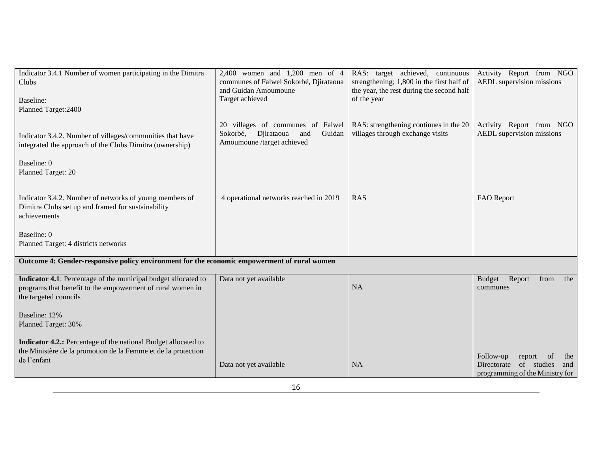| Indicator 3.4.1 Number of women participating in the Dimitra<br>Clubs<br>Baseline:<br>Planned Target: 2400                                            | 2,400 women and 1,200 men of 4<br>communes of Falwel Sokorbé, Djirataoua<br>and Guidan Amoumoune<br>Target achieved | RAS: target achieved, continuous<br>strengthening; 1,800 in the first half of<br>the year, the rest during the second half<br>of the year | Activity Report from NGO<br>AEDL supervision missions                |
|-------------------------------------------------------------------------------------------------------------------------------------------------------|---------------------------------------------------------------------------------------------------------------------|-------------------------------------------------------------------------------------------------------------------------------------------|----------------------------------------------------------------------|
| Indicator 3.4.2. Number of villages/communities that have<br>integrated the approach of the Clubs Dimitra (ownership)                                 | 20 villages of communes of Falwel<br>Sokorbé,<br>Djirataoua<br>Guidan<br>and<br>Amoumoune /target achieved          | RAS: strengthening continues in the 20<br>villages through exchange visits                                                                | Activity Report from NGO<br>AEDL supervision missions                |
| Baseline: 0<br>Planned Target: 20                                                                                                                     |                                                                                                                     |                                                                                                                                           |                                                                      |
| Indicator 3.4.2. Number of networks of young members of<br>Dimitra Clubs set up and framed for sustainability<br>achievements                         | 4 operational networks reached in 2019                                                                              | <b>RAS</b>                                                                                                                                | FAO Report                                                           |
| Baseline: 0<br>Planned Target: 4 districts networks                                                                                                   |                                                                                                                     |                                                                                                                                           |                                                                      |
| Outcome 4: Gender-responsive policy environment for the economic empowerment of rural women                                                           |                                                                                                                     |                                                                                                                                           |                                                                      |
| Indicator 4.1: Percentage of the municipal budget allocated to<br>programs that benefit to the empowerment of rural women in<br>the targeted councils | Data not yet available                                                                                              | <b>NA</b>                                                                                                                                 | from<br>the<br><b>Budget</b><br>Report<br>communes                   |
| Baseline: 12%<br>Planned Target: 30%                                                                                                                  |                                                                                                                     |                                                                                                                                           |                                                                      |
| Indicator 4.2.: Percentage of the national Budget allocated to<br>the Ministère de la promotion de la Femme et de la protection<br>de l'enfant        | Data not yet available                                                                                              | <b>NA</b>                                                                                                                                 | Follow-up<br>of<br>report<br>the<br>of studies<br>Directorate<br>and |
|                                                                                                                                                       |                                                                                                                     |                                                                                                                                           | programming of the Ministry for                                      |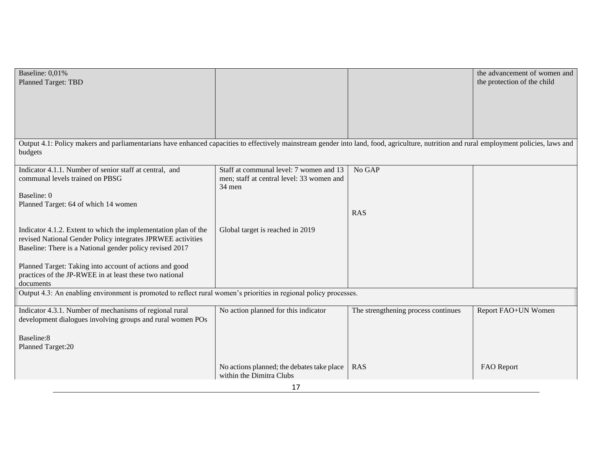| Baseline: 0,01%                                                                                                                                                                                     |                                                                        |                                     | the advancement of women and |
|-----------------------------------------------------------------------------------------------------------------------------------------------------------------------------------------------------|------------------------------------------------------------------------|-------------------------------------|------------------------------|
| <b>Planned Target: TBD</b>                                                                                                                                                                          |                                                                        |                                     | the protection of the child  |
|                                                                                                                                                                                                     |                                                                        |                                     |                              |
|                                                                                                                                                                                                     |                                                                        |                                     |                              |
|                                                                                                                                                                                                     |                                                                        |                                     |                              |
|                                                                                                                                                                                                     |                                                                        |                                     |                              |
|                                                                                                                                                                                                     |                                                                        |                                     |                              |
| Output 4.1: Policy makers and parliamentarians have enhanced capacities to effectively mainstream gender into land, food, agriculture, nutrition and rural employment policies, laws and<br>budgets |                                                                        |                                     |                              |
| Indicator 4.1.1. Number of senior staff at central, and                                                                                                                                             | Staff at communal level: 7 women and 13                                | No GAP                              |                              |
| communal levels trained on PBSG                                                                                                                                                                     | men; staff at central level: 33 women and<br>34 men                    |                                     |                              |
| Baseline: 0                                                                                                                                                                                         |                                                                        |                                     |                              |
| Planned Target: 64 of which 14 women                                                                                                                                                                |                                                                        |                                     |                              |
|                                                                                                                                                                                                     |                                                                        | <b>RAS</b>                          |                              |
| Indicator 4.1.2. Extent to which the implementation plan of the                                                                                                                                     | Global target is reached in 2019                                       |                                     |                              |
| revised National Gender Policy integrates JPRWEE activities                                                                                                                                         |                                                                        |                                     |                              |
| Baseline: There is a National gender policy revised 2017                                                                                                                                            |                                                                        |                                     |                              |
| Planned Target: Taking into account of actions and good                                                                                                                                             |                                                                        |                                     |                              |
| practices of the JP-RWEE in at least these two national                                                                                                                                             |                                                                        |                                     |                              |
| documents                                                                                                                                                                                           |                                                                        |                                     |                              |
| Output 4.3: An enabling environment is promoted to reflect rural women's priorities in regional policy processes.                                                                                   |                                                                        |                                     |                              |
| Indicator 4.3.1. Number of mechanisms of regional rural                                                                                                                                             | No action planned for this indicator                                   | The strengthening process continues | Report FAO+UN Women          |
| development dialogues involving groups and rural women POs                                                                                                                                          |                                                                        |                                     |                              |
| Baseline:8                                                                                                                                                                                          |                                                                        |                                     |                              |
| Planned Target:20                                                                                                                                                                                   |                                                                        |                                     |                              |
|                                                                                                                                                                                                     |                                                                        | <b>RAS</b>                          |                              |
|                                                                                                                                                                                                     | No actions planned; the debates take place<br>within the Dimitra Clubs |                                     | <b>FAO</b> Report            |
| 17                                                                                                                                                                                                  |                                                                        |                                     |                              |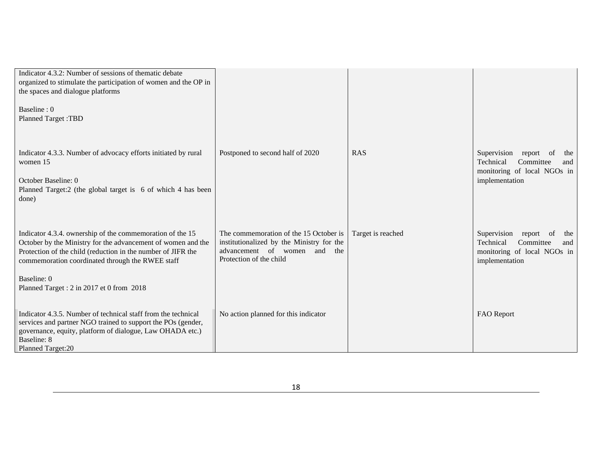| Indicator 4.3.2: Number of sessions of thematic debate<br>organized to stimulate the participation of women and the OP in<br>the spaces and dialogue platforms<br>Baseline: 0<br><b>Planned Target: TBD</b>                                                                               |                                                                                                                                                      |                   |                                                                                                                                  |
|-------------------------------------------------------------------------------------------------------------------------------------------------------------------------------------------------------------------------------------------------------------------------------------------|------------------------------------------------------------------------------------------------------------------------------------------------------|-------------------|----------------------------------------------------------------------------------------------------------------------------------|
| Indicator 4.3.3. Number of advocacy efforts initiated by rural<br>women 15<br>October Baseline: 0<br>Planned Target:2 (the global target is 6 of which 4 has been<br>done)                                                                                                                | Postponed to second half of 2020                                                                                                                     | <b>RAS</b>        | Supervision<br>report<br>the<br>0 <sup>t</sup><br>Technical<br>Committee<br>and<br>monitoring of local NGOs in<br>implementation |
| Indicator 4.3.4. ownership of the commemoration of the 15<br>October by the Ministry for the advancement of women and the<br>Protection of the child (reduction in the number of JIFR the<br>commemoration coordinated through the RWEE staff                                             | The commemoration of the 15 October is<br>institutionalized by the Ministry for the<br>advancement of women<br>and<br>the<br>Protection of the child | Target is reached | Supervision<br>of<br>report<br>the<br>Technical<br>Committee<br>and<br>monitoring of local NGOs in<br>implementation             |
| Baseline: 0<br>Planned Target: 2 in 2017 et 0 from 2018<br>Indicator 4.3.5. Number of technical staff from the technical<br>services and partner NGO trained to support the POs (gender,<br>governance, equity, platform of dialogue, Law OHADA etc.)<br>Baseline: 8<br>Planned Target:20 | No action planned for this indicator                                                                                                                 |                   | FAO Report                                                                                                                       |